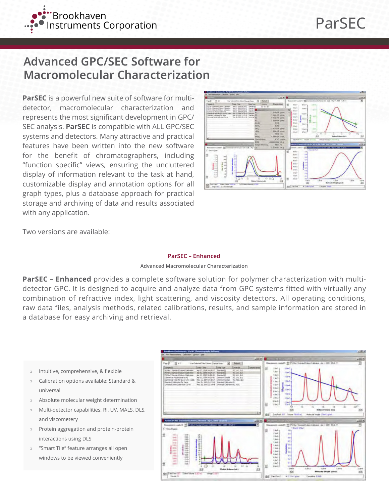

# **Advanced GPC/SEC Software for Macromolecular Characterization**

**ParSEC** is a powerful new suite of software for multidetector, macromolecular characterization and represents the most significant development in GPC/ SEC analysis. **ParSEC** is compatible with ALL GPC/SEC systems and detectors. Many attractive and practical features have been written into the new software for the benefit of chromatographers, including "function specific" views, ensuring the uncluttered display of information relevant to the task at hand, customizable display and annotation options for all graph types, plus a database approach for practical storage and archiving of data and results associated with any application.



Two versions are available:

## **ParSEC** – **Enhanced**

## **Advanced Macromolecular Characterization**

**ParSEC – Enhanced** provides a complete software solution for polymer characterization with multidetector GPC. It is designed to acquire and analyze data from GPC systems fitted with virtually any combination of refractive index, light scattering, and viscosity detectors. All operating conditions, raw data files, analysis methods, related calibrations, results, and sample information are stored in a database for easy archiving and retrieval.

- » Intuitive, comprehensive, & flexible
- » Calibration options available: Standard & universal
- » Absolute molecular weight determination
- » Multi-detector capabilities: RI, UV, MALS, DLS, and viscometery
- » Protein aggregation and protein-protein interactions using DLS
- » "Smart Tile" feature arranges all open windows to be viewed conveniently